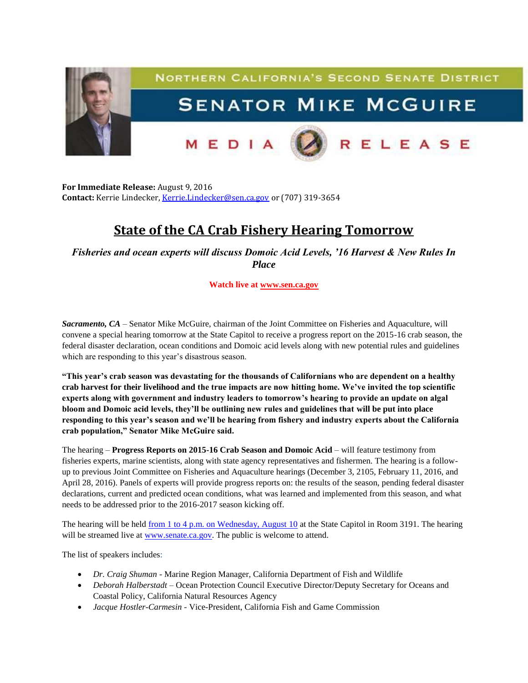

**For Immediate Release:** August 9, 2016 **Contact:** Kerrie Lindecker, [Kerrie.Lindecker@sen.ca.gov](mailto:Kerrie.Lindecker@sen.ca.gov) or (707) 319-3654

## **State of the CA Crab Fishery Hearing Tomorrow**

*Fisheries and ocean experts will discuss Domoic Acid Levels, '16 Harvest & New Rules In Place*

**Watch live at [www.sen.ca.gov](http://www.sen.ca.gov/)**

*Sacramento, CA* – Senator Mike McGuire, chairman of the Joint Committee on Fisheries and Aquaculture, will convene a special hearing tomorrow at the State Capitol to receive a progress report on the 2015-16 crab season, the federal disaster declaration, ocean conditions and Domoic acid levels along with new potential rules and guidelines which are responding to this year's disastrous season.

**"This year's crab season was devastating for the thousands of Californians who are dependent on a healthy crab harvest for their livelihood and the true impacts are now hitting home. We've invited the top scientific experts along with government and industry leaders to tomorrow's hearing to provide an update on algal bloom and Domoic acid levels, they'll be outlining new rules and guidelines that will be put into place responding to this year's season and we'll be hearing from fishery and industry experts about the California crab population," Senator Mike McGuire said.**

The hearing – **Progress Reports on 2015-16 Crab Season and Domoic Acid** – will feature testimony from fisheries experts, marine scientists, along with state agency representatives and fishermen. The hearing is a followup to previous Joint Committee on Fisheries and Aquaculture hearings (December 3, 2105, February 11, 2016, and April 28, 2016). Panels of experts will provide progress reports on: the results of the season, pending federal disaster declarations, current and predicted ocean conditions, what was learned and implemented from this season, and what needs to be addressed prior to the 2016-2017 season kicking off.

The hearing will be held from 1 to 4 p.m. on Wednesday, August 10 at the State Capitol in Room 3191. The hearing will be streamed live at [www.senate.ca.gov.](http://www.senate.ca.gov/) The public is welcome to attend.

The list of speakers includes:

- *Dr. Craig Shuman -* Marine Region Manager, California Department of Fish and Wildlife
- *Deborah Halberstadt –* Ocean Protection Council Executive Director/Deputy Secretary for Oceans and Coastal Policy, California Natural Resources Agency
- *Jacque Hostler-Carmesin -* Vice-President, California Fish and Game Commission